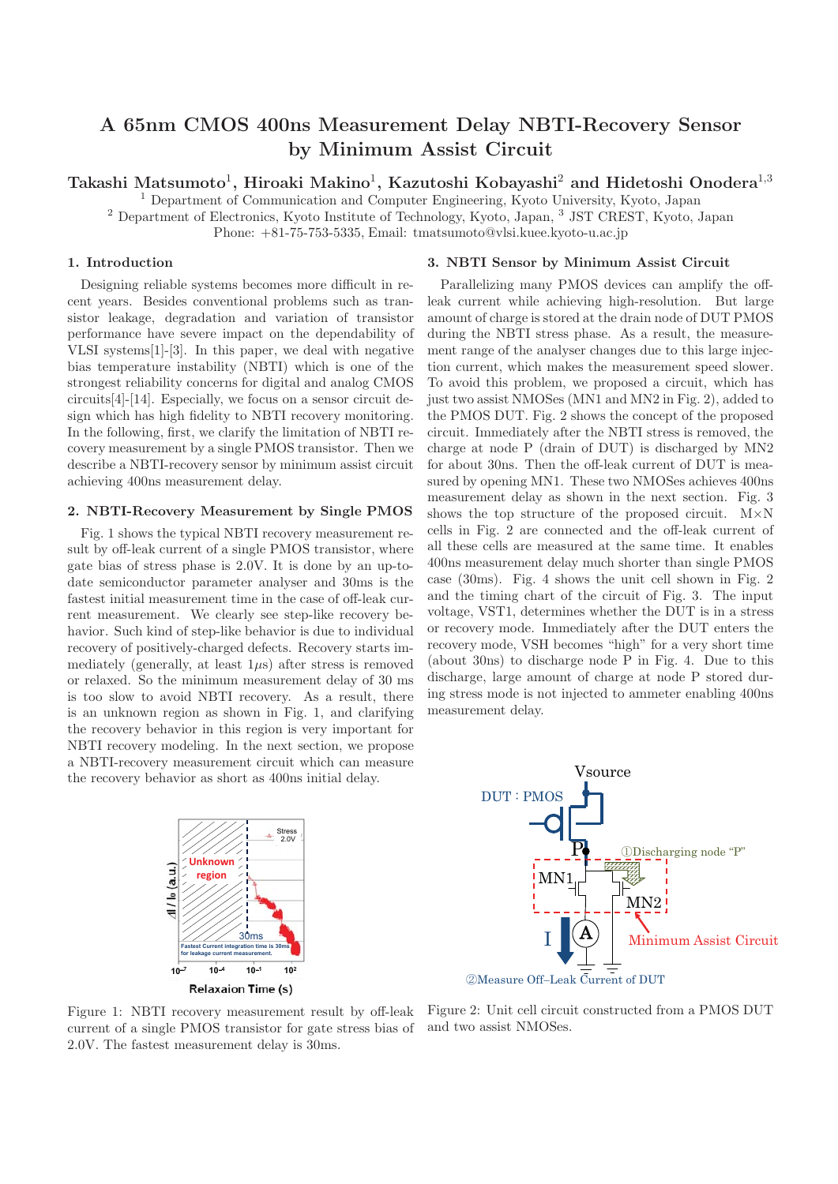# **A 65nm CMOS 400ns Measurement Delay NBTI-Recovery Sensor by Minimum Assist Circuit**

**Takashi Matsumoto**1**, Hiroaki Makino**1**, Kazutoshi Kobayashi**<sup>2</sup> **and Hidetoshi Onodera**<sup>1</sup>,<sup>3</sup>

<sup>1</sup> Department of Communication and Computer Engineering, Kyoto University, Kyoto, Japan

<sup>2</sup> Department of Electronics, Kyoto Institute of Technology, Kyoto, Japan, <sup>3</sup> JST CREST, Kyoto, Japan

Phone: +81-75-753-5335, Email: tmatsumoto@vlsi.kuee.kyoto-u.ac.jp

# **1. Introduction**

Designing reliable systems becomes more difficult in recent years. Besides conventional problems such as transistor leakage, degradation and variation of transistor performance have severe impact on the dependability of VLSI systems[1]-[3]. In this paper, we deal with negative bias temperature instability (NBTI) which is one of the strongest reliability concerns for digital and analog CMOS circuits[4]-[14]. Especially, we focus on a sensor circuit design which has high fidelity to NBTI recovery monitoring. In the following, first, we clarify the limitation of NBTI recovery measurement by a single PMOS transistor. Then we describe a NBTI-recovery sensor by minimum assist circuit achieving 400ns measurement delay.

## **2. NBTI-Recovery Measurement by Single PMOS**

Fig. 1 shows the typical NBTI recovery measurement result by off-leak current of a single PMOS transistor, where gate bias of stress phase is 2.0V. It is done by an up-todate semiconductor parameter analyser and 30ms is the fastest initial measurement time in the case of off-leak current measurement. We clearly see step-like recovery behavior. Such kind of step-like behavior is due to individual recovery of positively-charged defects. Recovery starts immediately (generally, at least  $1\mu s$ ) after stress is removed or relaxed. So the minimum measurement delay of 30 ms is too slow to avoid NBTI recovery. As a result, there is an unknown region as shown in Fig. 1, and clarifying the recovery behavior in this region is very important for NBTI recovery modeling. In the next section, we propose a NBTI-recovery measurement circuit which can measure the recovery behavior as short as 400ns initial delay.



current of a single PMOS transistor for gate stress bias of 2.0V. The fastest measurement delay is 30ms.

# **3. NBTI Sensor by Minimum Assist Circuit**

Parallelizing many PMOS devices can amplify the offleak current while achieving high-resolution. But large amount of charge is stored at the drain node of DUT PMOS during the NBTI stress phase. As a result, the measurement range of the analyser changes due to this large injection current, which makes the measurement speed slower. To avoid this problem, we proposed a circuit, which has just two assist NMOSes (MN1 and MN2 in Fig. 2), added to the PMOS DUT. Fig. 2 shows the concept of the proposed circuit. Immediately after the NBTI stress is removed, the charge at node P (drain of DUT) is discharged by MN2 for about 30ns. Then the off-leak current of DUT is measured by opening MN1. These two NMOSes achieves 400ns measurement delay as shown in the next section. Fig. 3 shows the top structure of the proposed circuit. M×N cells in Fig. 2 are connected and the off-leak current of all these cells are measured at the same time. It enables 400ns measurement delay much shorter than single PMOS case (30ms). Fig. 4 shows the unit cell shown in Fig. 2 and the timing chart of the circuit of Fig. 3. The input voltage, VST1, determines whether the DUT is in a stress or recovery mode. Immediately after the DUT enters the recovery mode, VSH becomes "high" for a very short time (about 30ns) to discharge node P in Fig. 4. Due to this discharge, large amount of charge at node P stored during stress mode is not injected to ammeter enabling 400ns measurement delay.



Figure 1: NBTI recovery measurement result by off-leak Figure 2: Unit cell circuit constructed from a PMOS DUT and two assist NMOSes.